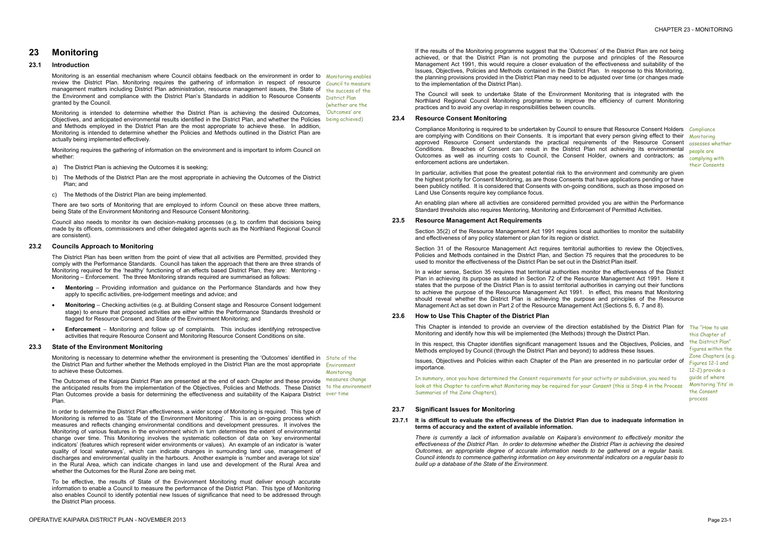- 
- 

# **23 Monitoring**

#### **23.1 Introduction**

Monitoring is an essential mechanism where Council obtains feedback on the environment in order to Monitoring enables review the District Plan. Monitoring requires the gathering of information in respect of resource Council to measure management matters including District Plan administration, resource management issues, the State of the success of the the Environment and compliance with the District Plan's Standards in addition to Resource Consents **District Plan** granted by the Council.

Monitoring is intended to determine whether the District Plan is achieving the desired Outcomes, Cutcomes' are Objectives, and anticipated environmental results identified in the District Plan, and whether the Policies being achieved) and Methods employed in the District Plan are the most appropriate to achieve these. In addition, Monitoring is intended to determine whether the Policies and Methods outlined in the District Plan are actually being implemented effectively.

Monitoring requires the gathering of information on the environment and is important to inform Council on whether:

- a) The District Plan is achieving the Outcomes it is seeking;
- b) The Methods of the District Plan are the most appropriate in achieving the Outcomes of the District Plan; and
- c) The Methods of the District Plan are being implemented.

There are two sorts of Monitoring that are employed to inform Council on these above three matters, being State of the Environment Monitoring and Resource Consent Monitoring.

Council also needs to monitor its own decision-making processes (e.g. to confirm that decisions being made by its officers, commissioners and other delegated agents such as the Northland Regional Council are consistent).

(whether are the

#### **23.2 Councils Approach to Monitoring**

The District Plan has been written from the point of view that all activities are Permitted, provided they comply with the Performance Standards. Council has taken the approach that there are three strands of Monitoring required for the 'healthy' functioning of an effects based District Plan, they are: Mentoring - Monitoring – Enforcement. The three Monitoring strands required are summarised as follows:

Monitoring is necessary to determine whether the environment is presenting the 'Outcomes' identified in State of the the District Plan and further whether the Methods employed in the District Plan are the most appropriate Environment to achieve these Outcomes. Monitoring

- · **Mentoring** Providing information and guidance on the Performance Standards and how they apply to specific activities, pre-lodgement meetings and advice; and
- · **Monitoring**  Checking activities (e.g. at Building Consent stage and Resource Consent lodgement stage) to ensure that proposed activities are either within the Performance Standards threshold or flagged for Resource Consent, and State of the Environment Monitoring; and
- · **Enforcement**  Monitoring and follow up of complaints. This includes identifying retrospective activities that require Resource Consent and Monitoring Resource Consent Conditions on site.

#### **23.3 State of the Environment Monitoring**

Compliance Monitoring is required to be undertaken by Council to ensure that Resource Consent Holders Compliance are complying with Conditions on their Consents. It is important that every person giving effect to their approved Resource Consent understands the practical requirements of the Resource Consent Conditions. Breaches of Consent can result in the District Plan not achieving its environmental Outcomes as well as incurring costs to Council, the Consent Holder, owners and contractors; as enforcement actions are undertaken.

In particular, activities that pose the greatest potential risk to the environment and community are given the highest priority for Consent Monitoring, as are those Consents that have applications pending or have been publicly notified. It is considered that Consents with on-going conditions, such as those imposed on Land Use Consents require key compliance focus.

**Monitoring** assesses whether people are complying with their Consents

Section 31 of the Resource Management Act requires territorial authorities to review the Objectives, Policies and Methods contained in the District Plan, and Section 75 requires that the procedures to be used to monitor the effectiveness of the District Plan be set out in the District Plan itself.

The Outcomes of the Kaipara District Plan are presented at the end of each Chapter and these provide the anticipated results from the implementation of the Objectives, Policies and Methods. These District to the environment Plan Outcomes provide a basis for determining the effectiveness and suitability of the Kaipara District over time Plan. measures change

In order to determine the District Plan effectiveness, a wider scope of Monitoring is required. This type of Monitoring is referred to as 'State of the Environment Monitoring'. This is an on-going process which measures and reflects changing environmental conditions and development pressures. It involves the Monitoring of various features in the environment which in turn determines the extent of environmental change over time. This Monitoring involves the systematic collection of data on 'key environmental indicators' (features which represent wider environments or values). An example of an indicator is 'water quality of local waterways', which can indicate changes in surrounding land use, management of discharges and environmental quality in the harbours. Another example is 'number and average lot size' in the Rural Area, which can indicate changes in land use and development of the Rural Area and whether the Outcomes for the Rural Zone are being met.

This Chapter is intended to provide an overview of the direction established by the District Plan for The "How to use Monitoring and identify how this will be implemented (the Methods) through the District Plan.

In this respect, this Chapter identifies significant management Issues and the Objectives, Policies, and Methods employed by Council (through the District Plan and beyond) to address these Issues.

#### 23.7.1 It is difficult to evaluate the effectiveness of the District Plan due to inadequate information in **terms of accuracy and the extent of available information.**

To be effective, the results of State of the Environment Monitoring must deliver enough accurate information to enable a Council to measure the performance of the District Plan. This type of Monitoring also enables Council to identify potential new Issues of significance that need to be addressed through the District Plan process.

If the results of the Monitoring programme suggest that the 'Outcomes' of the District Plan are not being achieved, or that the District Plan is not promoting the purpose and principles of the Resource Management Act 1991, this would require a closer evaluation of the effectiveness and suitability of the Issues, Objectives, Policies and Methods contained in the District Plan. In response to this Monitoring, the planning provisions provided in the District Plan may need to be adjusted over time (or changes made to the implementation of the District Plan).

The Council will seek to undertake State of the Environment Monitoring that is integrated with the Northland Regional Council Monitoring programme to improve the efficiency of current Monitoring practices and to avoid any overlap in responsibilities between councils.

#### **23.4 Resource Consent Monitoring**

An enabling plan where all activities are considered permitted provided you are within the Performance Standard thresholds also requires Mentoring, Monitoring and Enforcement of Permitted Activities.

#### **23.5 Resource Management Act Requirements**

Section 35(2) of the Resource Management Act 1991 requires local authorities to monitor the suitability and effectiveness of any policy statement or plan for its region or district.

In a wider sense, Section 35 requires that territorial authorities monitor the effectiveness of the District Plan in achieving its purpose as stated in Section 72 of the Resource Management Act 1991. Here it states that the purpose of the District Plan is to assist territorial authorities in carrying out their functions to achieve the purpose of the Resource Management Act 1991. In effect, this means that Monitoring should reveal whether the District Plan is achieving the purpose and principles of the Resource Management Act as set down in Part 2 of the Resource Management Act (Sections 5, 6, 7 and 8).

#### **23.6 How to Use This Chapter of the District Plan**

Issues, Objectives and Policies within each Chapter of the Plan are presented in no particular order of importance.

In summary, once you have determined the Consent requirements for your activity or subdivision, you need to look at this Chapter to confirm what Monitoring may be required for your Consent (this is Step 4 in the Process Summaries of the Zone Chapters).

this Chapter of the District Plan" figures within the Zone Chapters (e.g. Figures 12-1 and 12-2) provide a guide of where Monitoring 'fits' in the Consent process

#### **23.7 Significant Issues for Monitoring**

*There is currently a lack of information available on Kaipara's environment to effectively monitor the effectiveness of the District Plan. In order to determine whether the District Plan is achieving the desired Outcomes, an appropriate degree of accurate information needs to be gathered on a regular basis. Council intends to commence gathering information on key environmental indicators on a regular basis to build up a database of the State of the Environment.*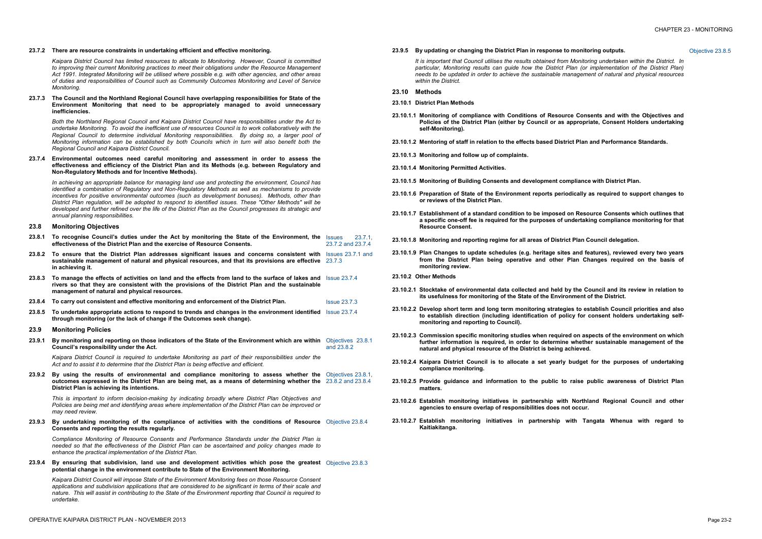#### **23.7.2 There are resource constraints in undertaking efficient and effective monitoring.**

*Kaipara District Council has limited resources to allocate to Monitoring. However, Council is committed to improving their current Monitoring practices to meet their obligations under the Resource Management Act 1991. Integrated Monitoring will be utilised where possible e.g. with other agencies, and other areas of duties and responsibilities of Council such as Community Outcomes Monitoring and Level of Service Monitoring.* 

**23.7.3 The Council and the Northland Regional Council have overlapping responsibilities for State of the Environment Monitoring that need to be appropriately managed to avoid unnecessary inefficiencies.** 

*Both the Northland Regional Council and Kaipara District Council have responsibilities under the Act to undertake Monitoring. To avoid the inefficient use of resources Council is to work collaboratively with the Regional Council to determine individual Monitoring responsibilities. By doing so, a larger pool of Monitoring information can be established by both Councils which in turn will also benefit both the Regional Council and Kaipara District Council.* 

**23.7.4 Environmental outcomes need careful monitoring and assessment in order to assess the effectiveness and efficiency of the District Plan and its Methods (e.g. between Regulatory and Non-Regulatory Methods and for Incentive Methods).** 

- 23.8.1 To recognise Council's duties under the Act by monitoring the State of the Environment, the Issues 23.7.1, **effectiveness of the District Plan and the exercise of Resource Consents.**  23.7.2 and 23.7.4
- **23.8.2 To ensure that the District Plan addresses significant issues and concerns consistent with**  Issues 23.7.1 and **sustainable management of natural and physical resources, and that its provisions are effective**  23.7.3 **in achieving it.**
- 23.8.3 To manage the effects of activities on land and the effects from land to the surface of lakes and Issue 23.7.4 **rivers so that they are consistent with the provisions of the District Plan and the sustainable management of natural and physical resources.**
- **23.8.4 To carry out consistent and effective monitoring and enforcement of the District Plan.** Issue 23.7.3
- **23.8.5 To undertake appropriate actions to respond to trends and changes in the environment identified**  Issue 23.7.4 **through monitoring (or the lack of change if the Outcomes seek change).**
- **23.9 Monitoring Policies**
- 23.9.1 By monitoring and reporting on those indicators of the State of the Environment which are within Objectives 23.8.1 **Council's responsibility under the Act.**  and 23.8.2

*In achieving an appropriate balance for managing land use and protecting the environment, Council has identified a combination of Regulatory and Non-Regulatory Methods as well as mechanisms to provide incentives for positive environmental outcomes (such as development bonuses). Methods, other than District Plan regulation, will be adopted to respond to identified issues. These "Other Methods" will be*  developed and further refined over the life of the District Plan as the Council progresses its strategic and *annual planning responsibilities.* 

#### **23.8 Monitoring Objectives**

*Kaipara District Council is required to undertake Monitoring as part of their responsibilities under the Act and to assist it to determine that the District Plan is being effective and efficient.* 

**23.9.2 By using the results of environmental and compliance monitoring to assess whether the**  Objectives 23.8.1, **outcomes expressed in the District Plan are being met, as a means of determining whether the**  23.8.2 and 23.8.4 **District Plan is achieving its intentions.** 

*This is important to inform decision-making by indicating broadly where District Plan Objectives and Policies are being met and identifying areas where implementation of the District Plan can be improved or may need review.* 

**23.9.3 By undertaking monitoring of the compliance of activities with the conditions of Resource**  Objective 23.8.4 **Consents and reporting the results regularly.** 

*Compliance Monitoring of Resource Consents and Performance Standards under the District Plan is needed so that the effectiveness of the District Plan can be ascertained and policy changes made to enhance the practical implementation of the District Plan.* 

**23.9.4 By ensuring that subdivision, land use and development activities which pose the greatest**  Objective 23.8.3 **potential change in the environment contribute to State of the Environment Monitoring.** 

*Kaipara District Council will impose State of the Environment Monitoring fees on those Resource Consent applications and subdivision applications that are considered to be significant in terms of their scale and*  nature. This will assist in contributing to the State of the Environment reporting that Council is required to *undertake.* 

### **23.9.5 By updating or changing the District Plan in response to monitoring outputs.** Objective 23.8.5

*It is important that Council utilises the results obtained from Monitoring undertaken within the District. In particular, Monitoring results can guide how the District Plan (or implementation of the District Plan) needs to be updated in order to achieve the sustainable management of natural and physical resources within the District.* 

- **23.10 Methods**
- **23.10.1 District Plan Methods**
- **23.10.1.1 Monitoring of compliance with Conditions of Resource Consents and with the Objectives and Policies of the District Plan (either by Council or as appropriate, Consent Holders undertaking self-Monitoring).**
- **23.10.1.2 Mentoring of staff in relation to the effects based District Plan and Performance Standards.**
- **23.10.1.3 Monitoring and follow up of complaints.**
- **23.10.1.4 Monitoring Permitted Activities.**
- **23.10.1.5 Monitoring of Building Consents and development compliance with District Plan.**
- **23.10.1.6 Preparation of State of the Environment reports periodically as required to support changes to or reviews of the District Plan.**
- **23.10.1.7 Establishment of a standard condition to be imposed on Resource Consents which outlines that a specific one-off fee is required for the purposes of undertaking compliance monitoring for that Resource Consent.**
- **23.10.1.8 Monitoring and reporting regime for all areas of District Plan Council delegation.**
- **23.10.1.9 Plan Changes to update schedules (e.g. heritage sites and features), reviewed every two years from the District Plan being operative and other Plan Changes required on the basis of monitoring review.**
- **23.10.2 Other Methods**
- 23.10.2.1 Stocktake of environmental data collected and held by the Council and its review in relation to **its usefulness for monitoring of the State of the Environment of the District.**
- **23.10.2.2 Develop short term and long term monitoring strategies to establish Council priorities and also to establish direction (including identification of policy for consent holders undertaking selfmonitoring and reporting to Council).**
- **23.10.2.3 Commission specific monitoring studies when required on aspects of the environment on which further information is required, in order to determine whether sustainable management of the natural and physical resource of the District is being achieved.**
- **23.10.2.4 Kaipara District Council is to allocate a set yearly budget for the purposes of undertaking compliance monitoring.**
- **23.10.2.5 Provide guidance and information to the public to raise public awareness of District Plan matters.**
- **23.10.2.6 Establish monitoring initiatives in partnership with Northland Regional Council and other agencies to ensure overlap of responsibilities does not occur.**
- **23.10.2.7 Establish monitoring initiatives in partnership with Tangata Whenua with regard to Kaitiakitanga.**